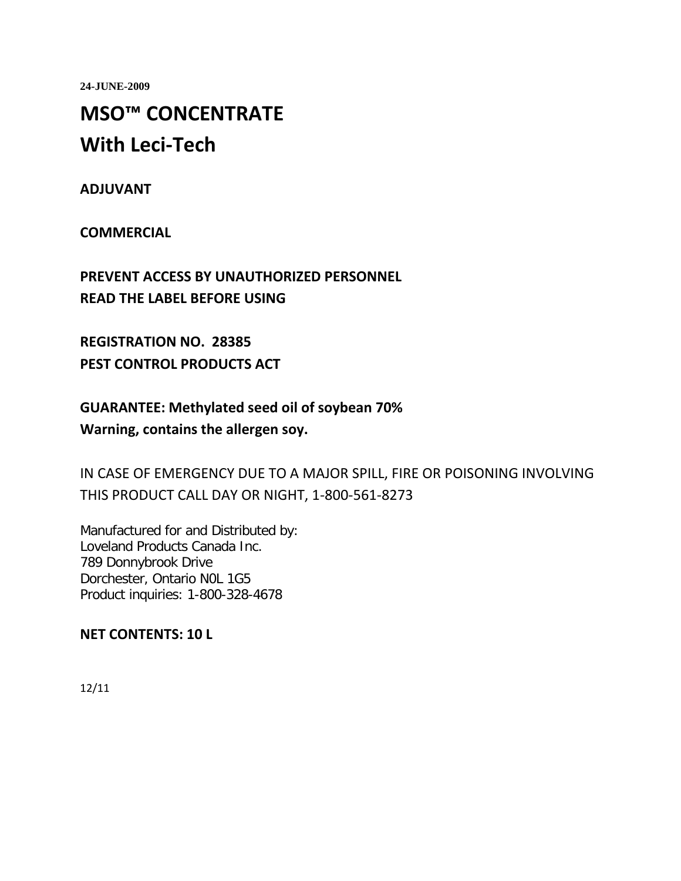**24-JUNE-2009**

# **MSO™ CONCENTRATE With Leci-Tech**

**ADJUVANT** 

**COMMERCIAL** 

**PREVENT ACCESS BY UNAUTHORIZED PERSONNEL READ THE LABEL BEFORE USING** 

**REGISTRATION NO. 28385 PEST CONTROL PRODUCTS ACT** 

**GUARANTEE: Methylated seed oil of soybean 70% Warning, contains the allergen soy.**

IN CASE OF EMERGENCY DUE TO A MAJOR SPILL, FIRE OR POISONING INVOLVING THIS PRODUCT CALL DAY OR NIGHT, 1-800-561-8273

Manufactured for and Distributed by: Loveland Products Canada Inc. 789 Donnybrook Drive Dorchester, Ontario N0L 1G5 Product inquiries: 1-800-328-4678

**NET CONTENTS: 10 L**

12/11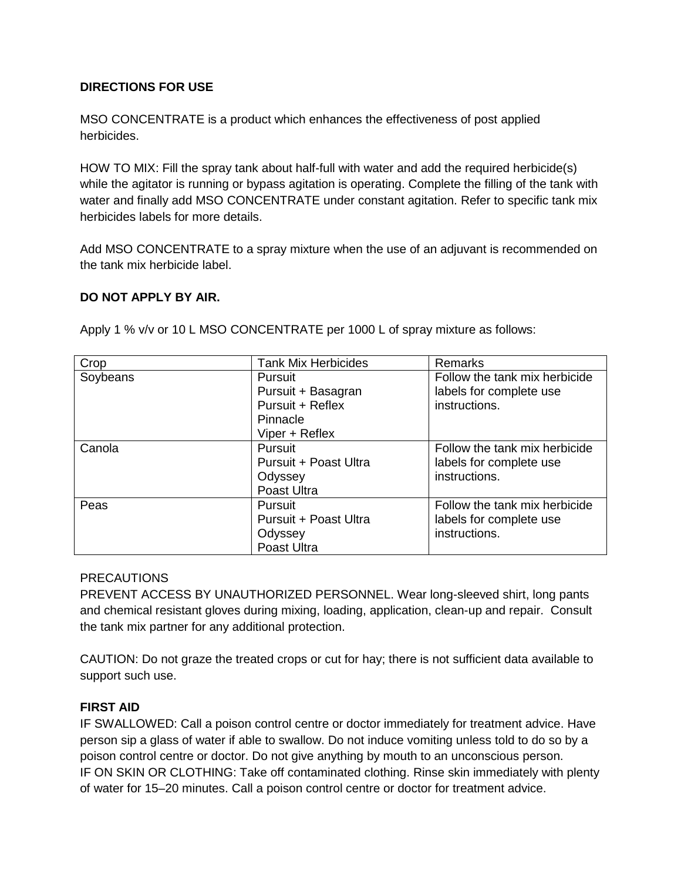#### **DIRECTIONS FOR USE**

MSO CONCENTRATE is a product which enhances the effectiveness of post applied herbicides.

HOW TO MIX: Fill the spray tank about half-full with water and add the required herbicide(s) while the agitator is running or bypass agitation is operating. Complete the filling of the tank with water and finally add MSO CONCENTRATE under constant agitation. Refer to specific tank mix herbicides labels for more details.

Add MSO CONCENTRATE to a spray mixture when the use of an adjuvant is recommended on the tank mix herbicide label.

#### **DO NOT APPLY BY AIR.**

| Crop     | <b>Tank Mix Herbicides</b> | Remarks                       |
|----------|----------------------------|-------------------------------|
| Soybeans | Pursuit                    | Follow the tank mix herbicide |
|          | Pursuit + Basagran         | labels for complete use       |
|          | Pursuit + Reflex           | instructions.                 |
|          | Pinnacle                   |                               |
|          | Viper + Reflex             |                               |
| Canola   | Pursuit                    | Follow the tank mix herbicide |
|          | Pursuit + Poast Ultra      | labels for complete use       |
|          | Odyssey                    | instructions.                 |
|          | Poast Ultra                |                               |
| Peas     | Pursuit                    | Follow the tank mix herbicide |
|          | Pursuit + Poast Ultra      | labels for complete use       |
|          | Odyssey                    | instructions.                 |
|          | Poast Ultra                |                               |

Apply 1 % v/v or 10 L MSO CONCENTRATE per 1000 L of spray mixture as follows:

#### PRECAUTIONS

PREVENT ACCESS BY UNAUTHORIZED PERSONNEL. Wear long-sleeved shirt, long pants and chemical resistant gloves during mixing, loading, application, clean-up and repair. Consult the tank mix partner for any additional protection.

CAUTION: Do not graze the treated crops or cut for hay; there is not sufficient data available to support such use.

#### **FIRST AID**

IF SWALLOWED: Call a poison control centre or doctor immediately for treatment advice. Have person sip a glass of water if able to swallow. Do not induce vomiting unless told to do so by a poison control centre or doctor. Do not give anything by mouth to an unconscious person. IF ON SKIN OR CLOTHING: Take off contaminated clothing. Rinse skin immediately with plenty of water for 15–20 minutes. Call a poison control centre or doctor for treatment advice.